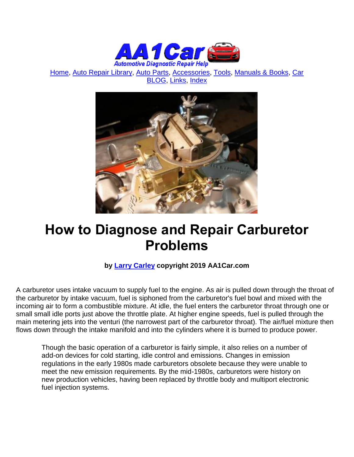

[Home,](http://www.aa1car.com/index.html) [Auto Repair Library,](http://www.aa1car.com/library.htm) [Auto Parts,](http://www.aa1car.com/links_parts.htm) [Accessories,](http://www.aa1car.com/links_accessories.htm) [Tools,](http://www.aa1car.com/links_tools.htm) [Manuals & Books,](http://www.aa1car.com/links_books.htm) [Car](http://www.aa1car.com/blog/blog.htm)  [BLOG,](http://www.aa1car.com/blog/blog.htm) [Links,](http://www.aa1car.com/links.htm) [Index](http://www.aa1car.com/index_alphabetical.htm)



# **How to Diagnose and Repair Carburetor Problems**

#### **by [Larry Carley](https://www.aa1car.com/larrypage/larrycarley_photos.htm) copyright 2019 AA1Car.com**

A carburetor uses intake vacuum to supply fuel to the engine. As air is pulled down through the throat of the carburetor by intake vacuum, fuel is siphoned from the carburetor's fuel bowl and mixed with the incoming air to form a combustible mixture. At idle, the fuel enters the carburetor throat through one or small small idle ports just above the throttle plate. At higher engine speeds, fuel is pulled through the main metering jets into the venturi (the narrowest part of the carburetor throat). The air/fuel mixture then flows down through the intake manifold and into the cylinders where it is burned to produce power.

Though the basic operation of a carburetor is fairly simple, it also relies on a number of add-on devices for cold starting, idle control and emissions. Changes in emission regulations in the early 1980s made carburetors obsolete because they were unable to meet the new emission requirements. By the mid-1980s, carburetors were history on new production vehicles, having been replaced by throttle body and multiport electronic fuel injection systems.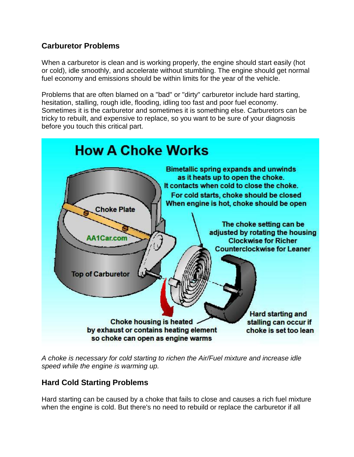## **Carburetor Problems**

When a carburetor is clean and is working properly, the engine should start easily (hot or cold), idle smoothly, and accelerate without stumbling. The engine should get normal fuel economy and emissions should be within limits for the year of the vehicle.

Problems that are often blamed on a "bad" or "dirty" carburetor include hard starting, hesitation, stalling, rough idle, flooding, idling too fast and poor fuel economy. Sometimes it is the carburetor and sometimes it is something else. Carburetors can be tricky to rebuilt, and expensive to replace, so you want to be sure of your diagnosis before you touch this critical part.



*A choke is necessary for cold starting to richen the Air/Fuel mixture and increase idle speed while the engine is warming up.*

## **Hard Cold Starting Problems**

Hard starting can be caused by a choke that fails to close and causes a rich fuel mixture when the engine is cold. But there's no need to rebuild or replace the carburetor if all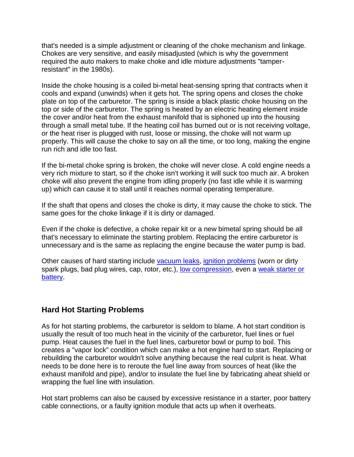that's needed is a simple adjustment or cleaning of the choke mechanism and linkage. Chokes are very sensitive, and easily misadjusted (which is why the government required the auto makers to make choke and idle mixture adjustments "tamperresistant" in the 1980s).

Inside the choke housing is a coiled bi-metal heat-sensing spring that contracts when it cools and expand (unwinds) when it gets hot. The spring opens and closes the choke plate on top of the carburetor. The spring is inside a black plastic choke housing on the top or side of the carburetor. The spring is heated by an electric heating element inside the cover and/or heat from the exhaust manifold that is siphoned up into the housing through a small metal tube. If the heating coil has burned out or is not receiving voltage, or the heat riser is plugged with rust, loose or missing, the choke will not warm up properly. This will cause the choke to say on all the time, or too long, making the engine run rich and idle too fast.

If the bi-metal choke spring is broken, the choke will never close. A cold engine needs a very rich mixture to start, so if the choke isn't working it will suck too much air. A broken choke will also prevent the engine from idling properly (no fast idle while it is warming up) which can cause it to stall until it reaches normal operating temperature.

If the shaft that opens and closes the choke is dirty, it may cause the choke to stick. The same goes for the choke linkage if it is dirty or damaged.

Even if the choke is defective, a choke repair kit or a new bimetal spring should be all that's necessary to eliminate the starting problem. Replacing the entire carburetor is unnecessary and is the same as replacing the engine because the water pump is bad.

Other causes of hard starting include [vacuum leaks,](http://www.aa1car.com/library/vacleak.htm) [ignition problems](http://www.aa1car.com/ignition.htm) (worn or dirty spark plugs, bad plug wires, cap, rotor, etc.), [low compression,](http://www.aa1car.com/library/compression.htm) even a [weak starter or](http://www.aa1car.com/electrical.htm)  [battery.](http://www.aa1car.com/electrical.htm)

#### **Hard Hot Starting Problems**

As for hot starting problems, the carburetor is seldom to blame. A hot start condition is usually the result of too much heat in the vicinity of the carburetor, fuel lines or fuel pump. Heat causes the fuel in the fuel lines, carburetor bowl or pump to boil. This creates a "vapor lock" condition which can make a hot engine hard to start. Replacing or rebuilding the carburetor wouldn't solve anything because the real culprit is heat. What needs to be done here is to reroute the fuel line away from sources of heat (like the exhaust manifold and pipe), and/or to insulate the fuel line by fabricating aheat shield or wrapping the fuel line with insulation.

Hot start problems can also be caused by excessive resistance in a starter, poor battery cable connections, or a faulty ignition module that acts up when it overheats.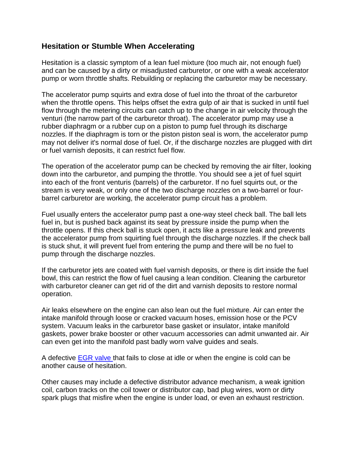#### **Hesitation or Stumble When Accelerating**

Hesitation is a classic symptom of a lean fuel mixture (too much air, not enough fuel) and can be caused by a dirty or misadjusted carburetor, or one with a weak accelerator pump or worn throttle shafts. Rebuilding or replacing the carburetor may be necessary.

The accelerator pump squirts and extra dose of fuel into the throat of the carburetor when the throttle opens. This helps offset the extra gulp of air that is sucked in until fuel flow through the metering circuits can catch up to the change in air velocity through the venturi (the narrow part of the carburetor throat). The accelerator pump may use a rubber diaphragm or a rubber cup on a piston to pump fuel through its discharge nozzles. If the diaphragm is torn or the piston piston seal is worn, the accelerator pump may not deliver it's normal dose of fuel. Or, if the discharge nozzles are plugged with dirt or fuel varnish deposits, it can restrict fuel flow.

The operation of the accelerator pump can be checked by removing the air filter, looking down into the carburetor, and pumping the throttle. You should see a jet of fuel squirt into each of the front venturis (barrels) of the carburetor. If no fuel squirts out, or the stream is very weak, or only one of the two discharge nozzles on a two-barrel or fourbarrel carburetor are working, the accelerator pump circuit has a problem.

Fuel usually enters the accelerator pump past a one-way steel check ball. The ball lets fuel in, but is pushed back against its seat by pressure inside the pump when the throttle opens. If this check ball is stuck open, it acts like a pressure leak and prevents the accelerator pump from squirting fuel through the discharge nozzles. If the check ball is stuck shut, it will prevent fuel from entering the pump and there will be no fuel to pump through the discharge nozzles.

If the carburetor jets are coated with fuel varnish deposits, or there is dirt inside the fuel bowl, this can restrict the flow of fuel causing a lean condition. Cleaning the carburetor with carburetor cleaner can get rid of the dirt and varnish deposits to restore normal operation.

Air leaks elsewhere on the engine can also lean out the fuel mixture. Air can enter the intake manifold through loose or cracked vacuum hoses, emission hose or the PCV system. Vacuum leaks in the carburetor base gasket or insulator, intake manifold gaskets, power brake booster or other vacuum accessories can admit unwanted air. Air can even get into the manifold past badly worn valve guides and seals.

A defective **EGR** valve that fails to close at idle or when the engine is cold can be another cause of hesitation.

Other causes may include a defective distributor advance mechanism, a weak ignition coil, carbon tracks on the coil tower or distributor cap, bad plug wires, worn or dirty spark plugs that misfire when the engine is under load, or even an exhaust restriction.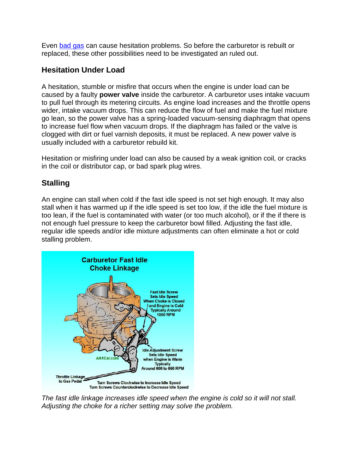Even [bad gas](http://www.aa1car.com/library/us10325.htm) can cause hesitation problems. So before the carburetor is rebuilt or replaced, these other possibilities need to be investigated an ruled out.

### **Hesitation Under Load**

A hesitation, stumble or misfire that occurs when the engine is under load can be caused by a faulty **power valve** inside the carburetor. A carburetor uses intake vacuum to pull fuel through its metering circuits. As engine load increases and the throttle opens wider, intake vacuum drops. This can reduce the flow of fuel and make the fuel mixture go lean, so the power valve has a spring-loaded vacuum-sensing diaphragm that opens to increase fuel flow when vacuum drops. If the diaphragm has failed or the valve is clogged with dirt or fuel varnish deposits, it must be replaced. A new power valve is usually included with a carburetor rebuild kit.

Hesitation or misfiring under load can also be caused by a weak ignition coil, or cracks in the coil or distributor cap, or bad spark plug wires.

# **Stalling**

An engine can stall when cold if the fast idle speed is not set high enough. It may also stall when it has warmed up if the idle speed is set too low, if the idle the fuel mixture is too lean, if the fuel is contaminated with water (or too much alcohol), or if the if there is not enough fuel pressure to keep the carburetor bowl filled. Adjusting the fast idle, regular idle speeds and/or idle mixture adjustments can often eliminate a hot or cold stalling problem.



*The fast idle linkage increases idle speed when the engine is cold so it will not stall. Adjusting the choke for a richer setting may solve the problem.*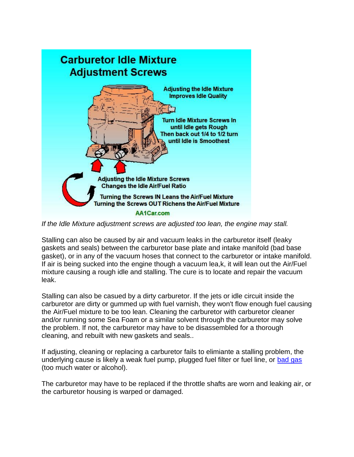

*If the Idle Mixture adjustment screws are adjusted too lean, the engine may stall.*

Stalling can also be caused by air and vacuum leaks in the carburetor itself (leaky gaskets and seals) between the carburetor base plate and intake manifold (bad base gasket), or in any of the vacuum hoses that connect to the carburetor or intake manifold. If air is being sucked into the engine though a vacuum lea,k, it will lean out the Air/Fuel mixture causing a rough idle and stalling. The cure is to locate and repair the vacuum leak.

Stalling can also be casued by a dirty carburetor. If the jets or idle circuit inside the carburetor are dirty or gummed up with fuel varnish, they won't flow enough fuel causing the Air/Fuel mixture to be too lean. Cleaning the carburetor with carburetor cleaner and/or running some Sea Foam or a similar solvent through the carburetor may solve the problem. If not, the carburetor may have to be disassembled for a thorough cleaning, and rebuilt with new gaskets and seals..

If adjusting, cleaning or replacing a carburetor fails to elimiante a stalling problem, the underlying cause is likely a weak fuel pump, plugged fuel filter or fuel line, or [bad gas](http://www.aa1car.com/library/us10325.htm) (too much water or alcohol).

The carburetor may have to be replaced if the throttle shafts are worn and leaking air, or the carburetor housing is warped or damaged.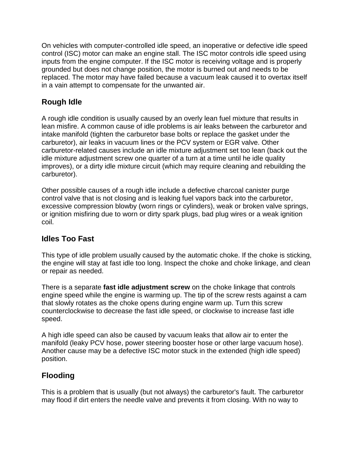On vehicles with computer-controlled idle speed, an inoperative or defective idle speed control (ISC) motor can make an engine stall. The ISC motor controls idle speed using inputs from the engine computer. If the ISC motor is receiving voltage and is properly grounded but does not change position, the motor is burned out and needs to be replaced. The motor may have failed because a vacuum leak caused it to overtax itself in a vain attempt to compensate for the unwanted air.

## **Rough Idle**

A rough idle condition is usually caused by an overly lean fuel mixture that results in lean misfire. A common cause of idle problems is air leaks between the carburetor and intake manifold (tighten the carburetor base bolts or replace the gasket under the carburetor), air leaks in vacuum lines or the PCV system or EGR valve. Other carburetor-related causes include an idle mixture adjustment set too lean (back out the idle mixture adjustment screw one quarter of a turn at a time until he idle quality improves), or a dirty idle mixture circuit (which may require cleaning and rebuilding the carburetor).

Other possible causes of a rough idle include a defective charcoal canister purge control valve that is not closing and is leaking fuel vapors back into the carburetor, excessive compression blowby (worn rings or cylinders), weak or broken valve springs, or ignition misfiring due to worn or dirty spark plugs, bad plug wires or a weak ignition coil.

## **Idles Too Fast**

This type of idle problem usually caused by the automatic choke. If the choke is sticking, the engine will stay at fast idle too long. Inspect the choke and choke linkage, and clean or repair as needed.

There is a separate **fast idle adjustment screw** on the choke linkage that controls engine speed while the engine is warming up. The tip of the screw rests against a cam that slowly rotates as the choke opens during engine warm up. Turn this screw counterclockwise to decrease the fast idle speed, or clockwise to increase fast idle speed.

A high idle speed can also be caused by vacuum leaks that allow air to enter the manifold (leaky PCV hose, power steering booster hose or other large vacuum hose). Another cause may be a defective ISC motor stuck in the extended (high idle speed) position.

## **Flooding**

This is a problem that is usually (but not always) the carburetor's fault. The carburetor may flood if dirt enters the needle valve and prevents it from closing. With no way to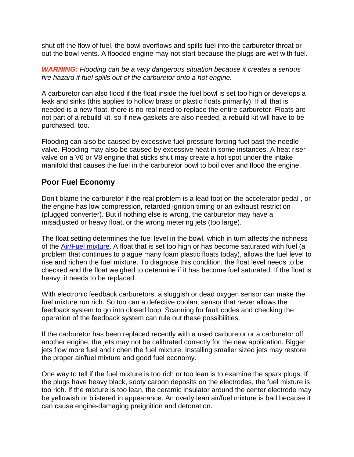shut off the flow of fuel, the bowl overflows and spills fuel into the carburetor throat or out the bowl vents. A flooded engine may not start because the plugs are wet with fuel.

*WARNING: Flooding can be a very dangerous situation because it creates a serious fire hazard if fuel spills out of the carburetor onto a hot engine.*

A carburetor can also flood if the float inside the fuel bowl is set too high or develops a leak and sinks (this applies to hollow brass or plastic floats primarily). If all that is needed is a new float, there is no real need to replace the entire carburetor. Floats are not part of a rebuild kit, so if new gaskets are also needed, a rebuild kit will have to be purchased, too.

Flooding can also be caused by excessive fuel pressure forcing fuel past the needle valve. Flooding may also be caused by excessive heat in some instances. A heat riser valve on a V6 or V8 engine that sticks shut may create a hot spot under the intake manifold that causes the fuel in the carburetor bowl to boil over and flood the engine.

#### **Poor Fuel Economy**

Don't blame the carburetor if the real problem is a lead foot on the accelerator pedal , or the engine has low compression, retarded ignition timing or an exhaust restriction (plugged converter). But if nothing else is wrong, the carburetor may have a misadjusted or heavy float, or the wrong metering jets (too large).

The float setting determines the fuel level in the bowl, which in turn affects the richness of the [Air/Fuel mixture.](https://www.aa1car.com/library/air_fuel_ratios.htm) A float that is set too high or has become saturated with fuel (a problem that continues to plague many foam plastic floats today), allows the fuel level to rise and richen the fuel mixture. To diagnose this condition, the float level needs to be checked and the float weighed to determine if it has become fuel saturated. If the float is heavy, it needs to be replaced.

With electronic feedback carburetors, a sluggish or dead oxygen sensor can make the fuel mixture run rich. So too can a defective coolant sensor that never allows the feedback system to go into closed loop. Scanning for fault codes and checking the operation of the feedback system can rule out these possibilities.

If the carburetor has been replaced recently with a used carburetor or a carburetor off another engine, the jets may not be calibrated correctly for the new application. Bigger jets flow more fuel and richen the fuel mixture. Installing smaller sized jets may restore the proper air/fuel mixture and good fuel economy.

One way to tell if the fuel mixture is too rich or too lean is to examine the spark plugs. If the plugs have heavy black, sooty carbon deposits on the electrodes, the fuel mixture is too rich. If the mixture is too lean, the ceramic insulator around the center electrode may be yellowish or blistered in appearance. An overly lean air/fuel mixture is bad because it can cause engine-damaging preignition and detonation.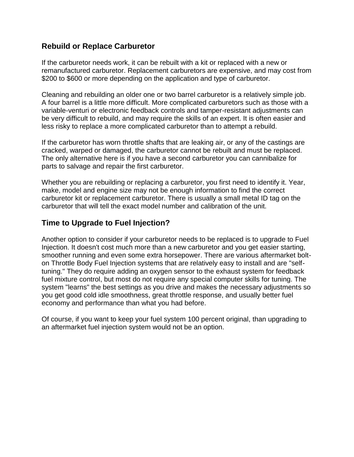#### **Rebuild or Replace Carburetor**

If the carburetor needs work, it can be rebuilt with a kit or replaced with a new or remanufactured carburetor. Replacement carburetors are expensive, and may cost from \$200 to \$600 or more depending on the application and type of carburetor.

Cleaning and rebuilding an older one or two barrel carburetor is a relatively simple job. A four barrel is a little more difficult. More complicated carburetors such as those with a variable-venturi or electronic feedback controls and tamper-resistant adjustments can be very difficult to rebuild, and may require the skills of an expert. It is often easier and less risky to replace a more complicated carburetor than to attempt a rebuild.

If the carburetor has worn throttle shafts that are leaking air, or any of the castings are cracked, warped or damaged, the carburetor cannot be rebuilt and must be replaced. The only alternative here is if you have a second carburetor you can cannibalize for parts to salvage and repair the first carburetor.

Whether you are rebuilding or replacing a carburetor, you first need to identify it. Year, make, model and engine size may not be enough information to find the correct carburetor kit or replacement carburetor. There is usually a small metal ID tag on the carburetor that will tell the exact model number and calibration of the unit.

#### **Time to Upgrade to Fuel Injection?**

Another option to consider if your carburetor needs to be replaced is to upgrade to Fuel Injection. It doesn't cost much more than a new carburetor and you get easier starting, smoother running and even some extra horsepower. There are various aftermarket bolton Throttle Body Fuel Injection systems that are relatively easy to install and are "selftuning." They do require adding an oxygen sensor to the exhaust system for feedback fuel mixture control, but most do not require any special computer skills for tuning. The system "learns" the best settings as you drive and makes the necessary adjustments so you get good cold idle smoothness, great throttle response, and usually better fuel economy and performance than what you had before.

Of course, if you want to keep your fuel system 100 percent original, than upgrading to an aftermarket fuel injection system would not be an option.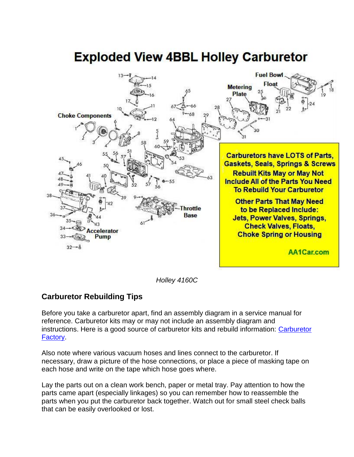

*Holley 4160C*

## **Carburetor Rebuilding Tips**

Before you take a carburetor apart, find an assembly diagram in a service manual for reference. Carburetor kits may or may not include an assembly diagram and instructions. Here is a good source of carburetor kits and rebuild information: [Carburetor](https://www.carburetorfactory.com/)  [Factory.](https://www.carburetorfactory.com/)

Also note where various vacuum hoses and lines connect to the carburetor. If necessary, draw a picture of the hose connections, or place a piece of masking tape on each hose and write on the tape which hose goes where.

Lay the parts out on a clean work bench, paper or metal tray. Pay attention to how the parts came apart (especially linkages) so you can remember how to reassemble the parts when you put the carburetor back together. Watch out for small steel check balls that can be easily overlooked or lost.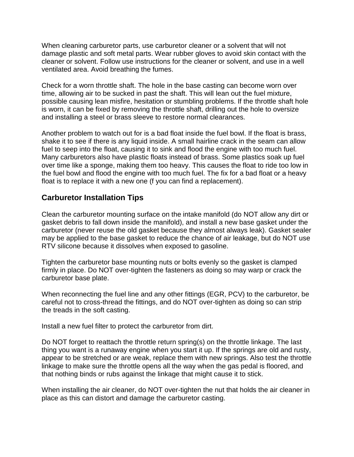When cleaning carburetor parts, use carburetor cleaner or a solvent that will not damage plastic and soft metal parts. Wear rubber gloves to avoid skin contact with the cleaner or solvent. Follow use instructions for the cleaner or solvent, and use in a well ventilated area. Avoid breathing the fumes.

Check for a worn throttle shaft. The hole in the base casting can become worn over time, allowing air to be sucked in past the shaft. This will lean out the fuel mixture, possible causing lean misfire, hesitation or stumbling problems. If the throttle shaft hole is worn, it can be fixed by removing the throttle shaft, drilling out the hole to oversize and installing a steel or brass sleeve to restore normal clearances.

Another problem to watch out for is a bad float inside the fuel bowl. If the float is brass, shake it to see if there is any liquid inside. A small hairline crack in the seam can allow fuel to seep into the float, causing it to sink and flood the engine with too much fuel. Many carburetors also have plastic floats instead of brass. Some plastics soak up fuel over time like a sponge, making them too heavy. This causes the float to ride too low in the fuel bowl and flood the engine with too much fuel. The fix for a bad float or a heavy float is to replace it with a new one (f you can find a replacement).

#### **Carburetor Installation Tips**

Clean the carburetor mounting surface on the intake manifold (do NOT allow any dirt or gasket debris to fall down inside the manifold), and install a new base gasket under the carburetor (never reuse the old gasket because they almost always leak). Gasket sealer may be applied to the base gasket to reduce the chance of air leakage, but do NOT use RTV silicone because it dissolves when exposed to gasoline.

Tighten the carburetor base mounting nuts or bolts evenly so the gasket is clamped firmly in place. Do NOT over-tighten the fasteners as doing so may warp or crack the carburetor base plate.

When reconnecting the fuel line and any other fittings (EGR, PCV) to the carburetor, be careful not to cross-thread the fittings, and do NOT over-tighten as doing so can strip the treads in the soft casting.

Install a new fuel filter to protect the carburetor from dirt.

Do NOT forget to reattach the throttle return spring(s) on the throttle linkage. The last thing you want is a runaway engine when you start it up. If the springs are old and rusty, appear to be stretched or are weak, replace them with new springs. Also test the throttle linkage to make sure the throttle opens all the way when the gas pedal is floored, and that nothing binds or rubs against the linkage that might cause it to stick.

When installing the air cleaner, do NOT over-tighten the nut that holds the air cleaner in place as this can distort and damage the carburetor casting.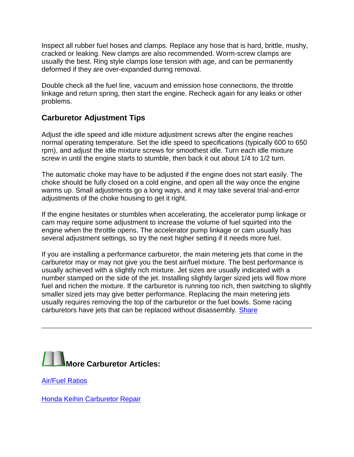Inspect all rubber fuel hoses and clamps. Replace any hose that is hard, brittle, mushy, cracked or leaking. New clamps are also recommended. Worm-screw clamps are usually the best. Ring style clamps lose tension with age, and can be permanently deformed if they are over-expanded during removal.

Double check all the fuel line, vacuum and emission hose connections, the throttle linkage and return spring, then start the engine. Recheck again for any leaks or other problems.

## **Carburetor Adjustment Tips**

Adjust the idle speed and idle mixture adjustment screws after the engine reaches normal operating temperature. Set the idle speed to specifications (typically 600 to 650 rpm), and adjust the idle mixture screws for smoothest idle. Turn each idle mixture screw in until the engine starts to stumble, then back it out about 1/4 to 1/2 turn.

The automatic choke may have to be adjusted if the engine does not start easily. The choke should be fully closed on a cold engine, and open all the way once the engine warms up. Small adjustments go a long ways, and it may take several trial-and-error adjustments of the choke housing to get it right.

If the engine hesitates or stumbles when accelerating, the accelerator pump linkage or cam may require some adjustment to increase the volume of fuel squirted into the engine when the throttle opens. The accelerator pump linkage or cam usually has several adjustment settings, so try the next higher setting if it needs more fuel.

If you are installing a performance carburetor, the main metering jets that come in the carburetor may or may not give you the best air/fuel mixture. The best performance is usually achieved with a slightly rich mixture. Jet sizes are usually indicated with a number stamped on the side of the jet. Installing slightly larger sized jets will flow more fuel and richen the mixture. If the carburetor is running too rich, then switching to slightly smaller sized jets may give better performance. Replacing the main metering jets usually requires removing the top of the carburetor or the fuel bowls. Some racing carburetors have jets that can be replaced without disassembly. [Share](http://www.facebook.com/sharer.php)



[Air/Fuel Ratios](https://www.aa1car.com/library/air_fuel_ratios.htm)

[Honda Keihin Carburetor Repair](http://www.aa1car.com/library/carburetor_honda_keihin.htm)